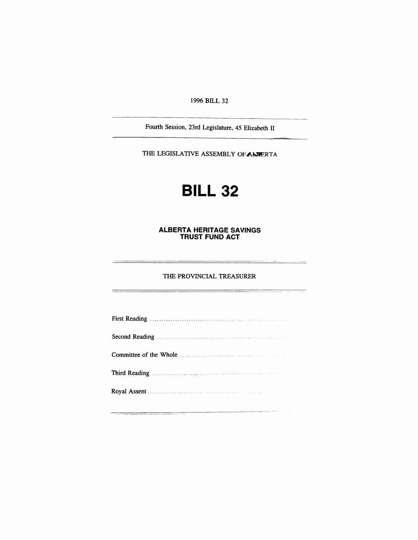*1996 BILL 32*

*Fourth Session, 23rd Legislature, 45 Elizabeth II*

*THE LEGISLATIVE ASSEMBLY OFALBERTA*

# *BILL 32*

#### *ALBERTA HERITAGE SAVINGS TRUST FUND ACT*

#### *THE PROVINCIAL TREASURER*

ستعاد وزباره والموسود والمتس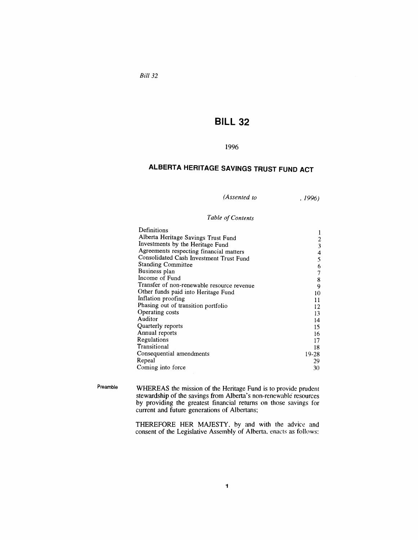### *Bill 32*

## *BILL 32*

### *1996*

# *ALBERTA HERITAGE SAVINGS TRUST FUND ACT*

| (Assented to | , 1996) |
|--------------|---------|
|--------------|---------|

#### *Table ofContents*

| Definitions                                |          |  |
|--------------------------------------------|----------|--|
| Alberta Heritage Savings Trust Fund        |          |  |
| Investments by the Heritage Fund           | 2<br>3   |  |
| Agreements respecting financial matters    | 4        |  |
| Consolidated Cash Investment Trust Fund    |          |  |
| <b>Standing Committee</b>                  | 5<br>6   |  |
| Business plan                              | 7        |  |
| Income of Fund                             | 8        |  |
| Transfer of non-renewable resource revenue | 9        |  |
| Other funds paid into Heritage Fund        |          |  |
| Inflation proofing                         | 10<br>11 |  |
| Phasing out of transition portfolio        |          |  |
| Operating costs                            | 13       |  |
| Auditor                                    | 14       |  |
| Quarterly reports                          | 15       |  |
| Annual reports                             | 16       |  |
| Regulations                                | 17       |  |
| Transitional                               | 18       |  |
| Consequential amendments                   | 19-28    |  |
| Repeal                                     | 29       |  |
| Coming into force                          |          |  |
|                                            |          |  |

*Preamble WHEREAS the mission of the Heritage Fund is to provide prudent stewardship of the savings from Alberta's non-renewable resources by providing the greatest financial returns on those savings for current and future generations of Albertans;*

> *THEREFORE HER MAJESTY, by and with the advice and consent of the Legislative Assembly of Alberta, enacts as follows:*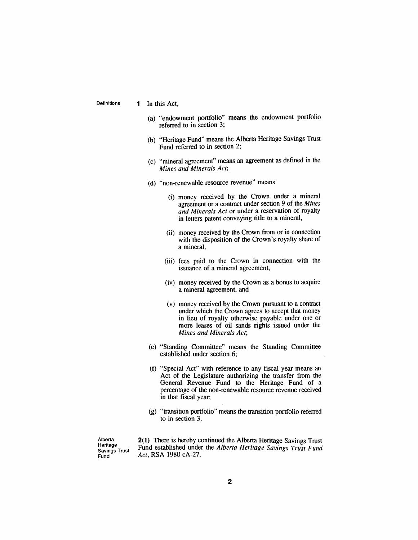*Definitions 1 In this Act,*

- *(a) "endowment portfolio" means the endowment portfolio referred to in section 3;*
- *(b) "Heritage Fund" means the Alberta Heritage Savings Trust Fund referred to in section 2;*
- *(c) "mineral agreement" means an agreement as defined in the Mines and Minerals Act;*
- *(d) "non-renewable resource revenue" means*
	- *(i) money received by the Crown under a mineral agreement or a contract under section 9 of the Mines and Minerals Act or under a reservation of royalty in letters patent conveying title to a mineral,*
	- *(ii) money received by the Crown from or in connection with the disposition of the Crown's royalty share of a mineral,*
	- *(iii) fees paid to the Crown in connection with the issuance of a mineral agreement,*
	- *(iv) money received by the Crown as a bonus to acquire a mineral agreement, and*
	- *(v) money received by the Crown pursuant to a contract under which the Crown agrees to accept that money in lieu of royalty otherwise payable under one or more leases of oil sands rights issued under the Mines and Minerals Act;*
- *(e) "Standing Committee" means the Standing Committee established under section 6;*
- *(f) "Special Act" with reference to any fiscal year means an Act of the Legislature authorizing the transfer from the General Revenue Fund to the Heritage Fund of a percentage of the non-renewable resource revenue received in that fiscal year;*
- *(g) "transition portfolio" means the transition portfolio referred to in section 3.*

*Alberta Heritage Savings Trust Fund*

*2(1) There is hereby continued the Alberta Heritage Savings Trust Fund established under the Alberta Heritage Savings Trust Fund Act, RSA 1980 cA-27.*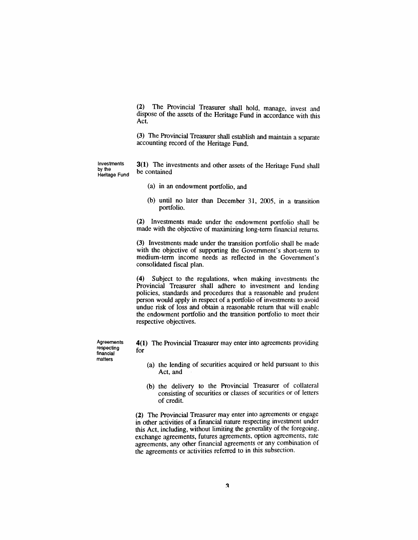*(2) The Provincial Treasurer shall hold, manage, invest and dispose of the assets of the Heritage Fund in accordance with this Act.*

*(3) The Provincial Treasurer shall establish and maintain a separate accounting record of the Heritage Fund.*

*Investments by the Heritage Fund*

- *3(1) The investments and other assets of the Heritage Fund shall be contained*
	- *(a) in an endowment portfolio, and*
	- *(b) until no later than December 31, 2005, in a transition portfolio.*

*(2) Investments made under the endowment portfolio shall be made with the objective of maximizing long-term financial returns.*

*(3) Investments made under the transition portfolio shall be made with the objective of supporting the Government's short-term to medium-term income needs as reflected in the Government's consolidated fiscal plan.*

*(4) Subject to the regulations, when making investments the Provincial Treasurer shall adhere to investment and lending policies, standards and procedures that a reasonable and prudent person would apply in respect of a portfolio of investments to avoid undue risk of loss and obtain a reasonable return that will enable the endowment portfolio and the transition portfolio to meet their respective objectives.*

*Agreements respecting financial matters*

*4(1) The Provincial Treasurer may enter into agreements providing for*

- *(a) the lending of securities acquired or held pursuant to this Act, and*
- *(b) the delivery to the Provincial Treasurer of collateral consisting of securities or classes of securities or of letters of credit.*

*(2) The Provincial Treasurer may enter into agreements or engage in other activities of a financial nature respecting investment under this Act, including, without limiting the generality of the foregoing, exchange agreements, futures agreements, option agreements, rate agreements, any other financial agreements or any combination of the agreements or activities referred to in this subsection.*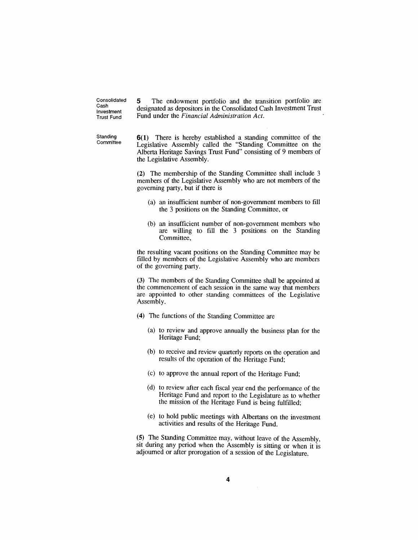*Consolidated Cash Investment Trust Fund*

*5 The endowment portfolio and the transition portfolio are designated as depositors in the Consolidated Cash Investment Trust Fund under the Financial Administration Act.*

*Standing Committee*

*6(1) There is hereby established a standing committee of the Legislative Assembly called the "Standing Committee on the Alberta Heritage Savings Trust Fund" consisting of 9 members of the Legislative Assembly.*

*(2) The membership of the Standing Committee shall include 3 members of the Legislative Assembly who are not members of the governing party, but if there is*

- *(a) an insufficient number of non-government members to fill the 3 positions on the Standing Committee, or*
- *(b) an insufficient number of non-government members who are willing to fill the 3 positions on the Standing Committee,*

*the resulting vacant positions on the Standing Committee may be filled by members of the Legislative Assembly who are members of the governing party.*

*(3) The members of the Standing Committee shall be appointed at the commencement of each session in the same way that members are appointed to other standing committees of the Legislative Assembly.*

- *(4) The functions of the Standing Committee are*
	- *(a) to review and approve annually the business plan for the Heritage Fund;*
	- *(b) to receive and review quarterly reports on the operation and results of the operation of the Heritage Fund;*
	- *(c) to approve the annual report of the Heritage Fund;*
	- *(d) to review after each fiscal year end the performance of the Heritage Fund and report to the Legislature as to whether the mission of the Heritage Fund is being fulfilled;*
	- *(e) to hold public meetings with Albertans on the investment activities and results of the Heritage Fund.*

*(5) The Standing Committee may, without leave of the Assembly, sit during any period when the Assembly is sitting or when it is adjourned or after prorogation of a session of the Legislature.*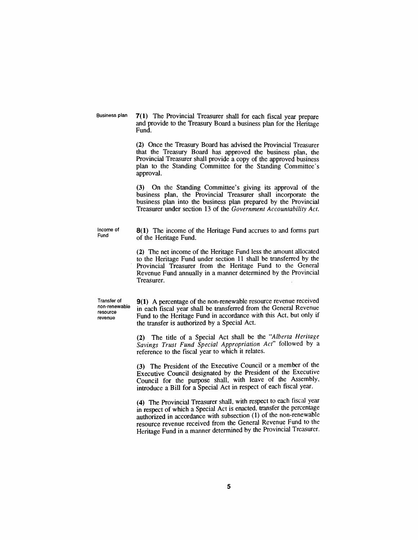*Business plan 7(1) The Provincial Treasurer shall for each fiscal year prepare and provide to the Treasury Board a business plan for the Heritage Fund.*

> *(2) Once the Treasury Board has advised the Provincial Treasurer that the Treasury Board has approved the business plan, the Provincial Treasurer shall provide a copy of the approved business plan to the Standing Committee for the Standing Committee's approval.*

> *(3) On the Standing Committee's giving its approval of the business plan, the Provincial Treasurer shall incorporate the business plan into the business plan prepared by the Provincial Treasurer under section 13 of the Government Accountability Act.*

*Income of Fund*

*8(1) The income of the Heritage Fund accrues to and forms part of the Heritage Fund.*

*(2) The net income of the Heritage Fund less the amount allocated to the Heritage Fund under section 11 shall be transferred by the Provincial Treasurer from the Heritage Fund to the General Revenue Fund annually in a manner determined by the Provincial Treasurer.*

*Transfer of non-renewable resource revenue*

*9(1) A percentage of the non-renewable resource revenue received in each fiscal year shall be transferred from the General Revenue Fund to the Heritage Fund in accordance with this Act, but only if the transfer is authorized by a Special Act.*

*(2) The title of a Special Act shall be the "Alberta Heritage Savings Trust Fund Special Appropriation Act" followed by a reference to the fiscal year to which it relates.*

*(3) The President of the Executive Council or a member of the Executive Council designated by the President of the Executive Council for the purpose shall, with leave of the Assembly, introduce a Bill for a Special Act in respect of each fiscal year.*

*(4) The Provincial Treasurer shall, with respect to each fiscal year in respect of which a Special Act is enacted, transfer the percentage authorized in accordance with subsection (1) of the non-renewable resource revenue received from the General Revenue Fund to the Heritage Fund in a manner determined by the Provincial Treasurer.*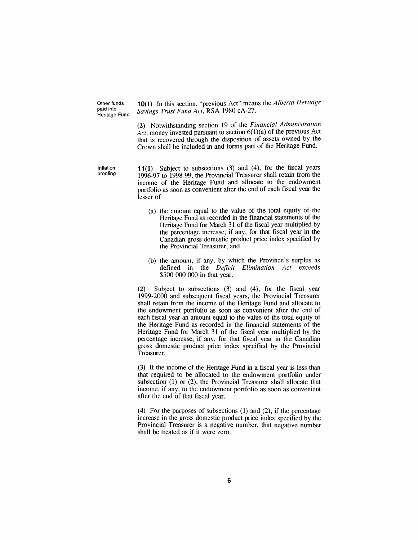*Other funds paid into Heritage Fund*

*10(1) In this section, "previous Act" means the Alberta Heritage Savings Trust Fund Act, RSA 1980 cA-27.*

*(2) Notwithstanding section 19 of the Financial Administration Act, money invested pursuant to section 6(1)(a) of the previous Act that is recovered through the disposition of assets owned by the Crown shall be included in and forms part of the Heritage Fund.*

*Inflation proofing*

*11(1) Subject to subsections (3) and (4), for the fiscal years 1996-97 to 1998-99, the Provincial Treasurer shall retain from the income of the Heritage Fund and allocate to the endowment portfolio as soon as convenient after the end of each fiscal year the lesser of*

- *(a) the amount equal to the value of the total equity of the Heritage Fund as recorded in the financial statements of the Heritage Fund for March 31 of the fiscal year multiplied by the percentage increase, if any, for that fiscal year in the Canadian gross domestic product price index specified by the Provincial Treasurer, and*
- *(b) the amount, if any, by which the Province's surplus as defined in the Deficit Elimination Act exceeds \$500 000 000 in that year.*

*(2) Subject to subsections (3) and (4), for the fiscal year 1999-2000 and subsequent fiscal years, the Provincial Treasurer shall retain from the income of the Heritage Fund and allocate to the endowment portfolio as soon as convenient after the end of each fiscal year an amount equal to the value of the total equity of the Heritage Fund as recorded in the financial statements of the Heritage Fund for March 31 of the fiscal year multiplied by the percentage increase, if any, for that fiscal year in the Canadian gross domestic product price index specified by the Provincial Treasurer.*

*(3) If the income of the Heritage Fund in a fiscal year is less than that required to be allocated to the endowment portfolio under subsection (1) or (2), the Provincial Treasurer shall allocate that income, if any, to the endowment portfolio as soon as convenient after the end of that fiscal year.*

*(4) For the purposes of subsections (1) and (2), if the percentage increase in the gross domestic product price index specified by the Provincial Treasurer is a negative number, that negative number shall be treated as if it were zero.*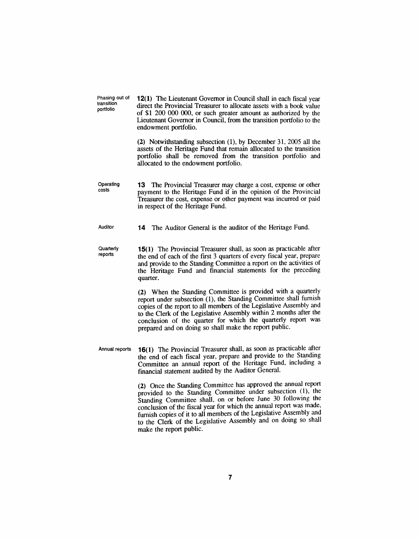| Phasing out of<br>transition<br>portfolio | <b>12(1)</b> The Lieutenant Governor in Council shall in each fiscal year<br>direct the Provincial Treasurer to allocate assets with a book value<br>of \$1 200 000 000, or such greater amount as authorized by the<br>Lieutenant Governor in Council, from the transition portfolio to the<br>endowment portfolio.                                                                                                                      |
|-------------------------------------------|-------------------------------------------------------------------------------------------------------------------------------------------------------------------------------------------------------------------------------------------------------------------------------------------------------------------------------------------------------------------------------------------------------------------------------------------|
|                                           | (2) Notwithstanding subsection (1), by December 31, 2005 all the<br>assets of the Heritage Fund that remain allocated to the transition<br>portfolio shall be removed from the transition portfolio and<br>allocated to the endowment portfolio.                                                                                                                                                                                          |
| Operating<br>costs                        | $13-13$<br>The Provincial Treasurer may charge a cost, expense or other<br>payment to the Heritage Fund if in the opinion of the Provincial<br>Treasurer the cost, expense or other payment was incurred or paid<br>in respect of the Heritage Fund.                                                                                                                                                                                      |
| Auditor                                   | The Auditor General is the auditor of the Heritage Fund.<br>14                                                                                                                                                                                                                                                                                                                                                                            |
| Quarterly<br>reports                      | 15(1) The Provincial Treasurer shall, as soon as practicable after<br>the end of each of the first 3 quarters of every fiscal year, prepare<br>and provide to the Standing Committee a report on the activities of<br>the Heritage Fund and financial statements for the preceding<br>quarter.                                                                                                                                            |
|                                           | (2) When the Standing Committee is provided with a quarterly<br>report under subsection (1), the Standing Committee shall furnish<br>copies of the report to all members of the Legislative Assembly and<br>to the Clerk of the Legislative Assembly within 2 months after the<br>conclusion of the quarter for which the quarterly report was<br>prepared and on doing so shall make the report public.                                  |
| Annual reports                            | 16(1) The Provincial Treasurer shall, as soon as practicable after<br>the end of each fiscal year, prepare and provide to the Standing<br>Committee an annual report of the Heritage Fund, including a<br>financial statement audited by the Auditor General.                                                                                                                                                                             |
|                                           | (2) Once the Standing Committee has approved the annual report<br>provided to the Standing Committee under subsection (1), the<br>Standing Committee shall, on or before June 30 following the<br>conclusion of the fiscal year for which the annual report was made,<br>furnish copies of it to all members of the Legislative Assembly and<br>to the Clerk of the Legislative Assembly and on doing so shall<br>make the report public. |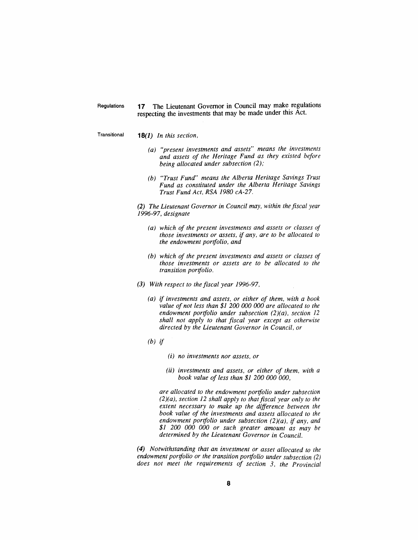*Regulations 17 The Lieutenant Governor in Council may make regulations respecting the investments that may be made under this Act.*

*Transitional 18(1) In this section,*

- *(a) "present investments and assets" means the investments and assets of the Heritage Fund as they existed before being allocated under subsection (2);*
- *(b) "Trust Fund" means the Alberta Heritage Savings Trust Fund as constituted under the Alberta Heritage Savings Trust Fund Act, RSA 1980 cA-27.*

*(2) The Lieutenant Governor in Council may, within the fiscal year 1996-97, designate*

- *(a) which of the present investments and assets or classes of those investments or assets, if any, are to be allocated to the endowment portfolio, and*
- *(b) which of the present investments and assets or classes of those investments or assets are to be allocated to the transition portfolio.*
- *(3) With respect to the fiscal year 1996-97,*
	- *(a) if investments and assets, or either of them, with a book value of not less than \$1 200 000 000 are allocated to the endowment portfolio under subsection (2)(a), section 12 shall not apply to that fiscal year except as otherwise directed by the Lieutenant Governor in Council, or*
	- *(b) if*
		- *(i) no investments nor assets, or*
		- *(ii) investments and assets, or either of them, with <sup>a</sup> book value of less than \$1 200 000 000,*

*are allocated to the endowment portfolio under subsection (2)(a), section 12 shall apply to thatfiscal year only to the extent necessary to make up the difference between the book value of the investments and assets allocated to the endowment portfolio under subsection (2)(a), if any, and \$1 200 000 000 or such greater amount as may be determined by the Lieutenant Governor in Council.*

*(4) Notwithstanding that an investment or asset allocated to the endowment portfolio or the transition portfolio under subsection (2) does not meet the requirements of section 3, the Provincial*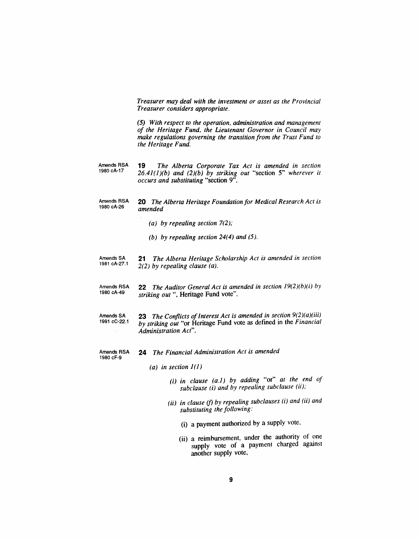*Treasurer may deal with the investment or asset as the Provincial Treasurer considers appropriate.*

*(5) With respect to the operation, administration and management of the Heritage Fund, the Lieutenant Governor in Council may make regulations governing the transition from the Trust Fund to the Heritage Fund.*

*Amends RSA 1980 cA-17 19 The Alberta Corporate Tax Act is amended in section 26.41(1)(b) and (2)(b) by striking out "section 5" wherever it occurs and substituting "section 9".*

*Amends RSA 1980 cA-26 20 The Alberta Heritage Foundation for Medical Research Act is amended*

- *(a) by repealing section 7(2);*
- *(b) by repealing section 24(4) and (5).*
- *Amends SA 1981 cA-27.<sup>1</sup> 21 The Alberta Heritage Scholarship Act is amended in section 2(2) by repealing clause (a).*
- *Amends RSA 1980 cA-49 22 The Auditor General Act is amended in section 19(2)(b)(i) by striking out ", Heritage Fund vote".*
- *Amends SA 1991 cC-22.1 23 The Conflicts ofInterest Act is amended in section 9(2)(a)(iii) by striking out "or Heritage Fund vote as defined in the Financial Administration Act".*
- *Amends RSA 1980 cF-9 24 The Financial Administration Act is amended*
	- *(a) in section 1(1)*
		- *(i) in clause (a.1) by adding "or" at the end of subclause (i) and by repealing subclause (ii);*
		- *(ii) in clause (f) by repealing subclauses (i) and (ii) and substituting the following:*
			- *(i) a payment authorized by a supply vote,*
			- *(ii) a reimbursement, under the authority of one supply vote of a payment charged against another supply vote.*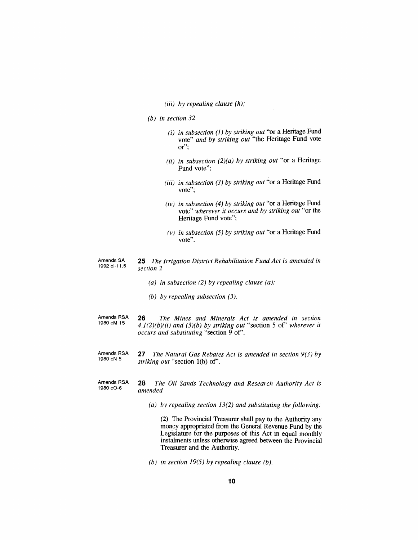#### *(iii) by repealing clause (h);*

- *(b) in section 32*
	- *(i) in subsection (1) by striking out "or a Heritage Fund vote" and by striking out "the Heritage Fund vote or";*
	- *(ii) in subsection (2)(a) by striking out "or a Heritage Fund vote";*
	- *(Hi) in subsection (3) by striking out "or a Heritage Fund vote";*
	- *(iv) in subsection (4) by striking out "or a Heritage Fund vote" wherever it occurs and by striking out "or the Heritage Fund vote";*
	- *(v) in subsection (5) by striking out "or a Heritage Fund vote".*

#### *Amends SA 1992 cl-11.5 25 The Irrigation District Rehabilitation Fund Act is amended in section 2*

- *(a) in subsection (2) by repealing clause (a);*
- *(b) by repealing subsection (3).*
- *Amends RSA 1980 cM-15 26 The Mines and Minerals Act is amended in section 4.1(2)(b)(ii) and (3)(b) by striking out "section <sup>5</sup> of' wherever it occurs and substituting "section 9 of'.*
- *Amends RSA 1980 cN-5 27 The Natural Gas Rebates Act is amended in section 9(3) by striking out "section 1(b) of'.*
- *Amends RSA 1980 cO-6 28 The Oil Sands Technology and Research Authority Act is amended*
	- *(a) by repealing section 13(2) and substituting the following:*

*(2) The Provincial Treasurer shall pay to the Authority any money appropriated from the General Revenue Fund by the Legislature for the purposes of this Act in equal monthly instalments unless otherwise agreed between the Provincial Treasurer and the Authority.*

*(b) in section 19(5) by repealing clause (b).*